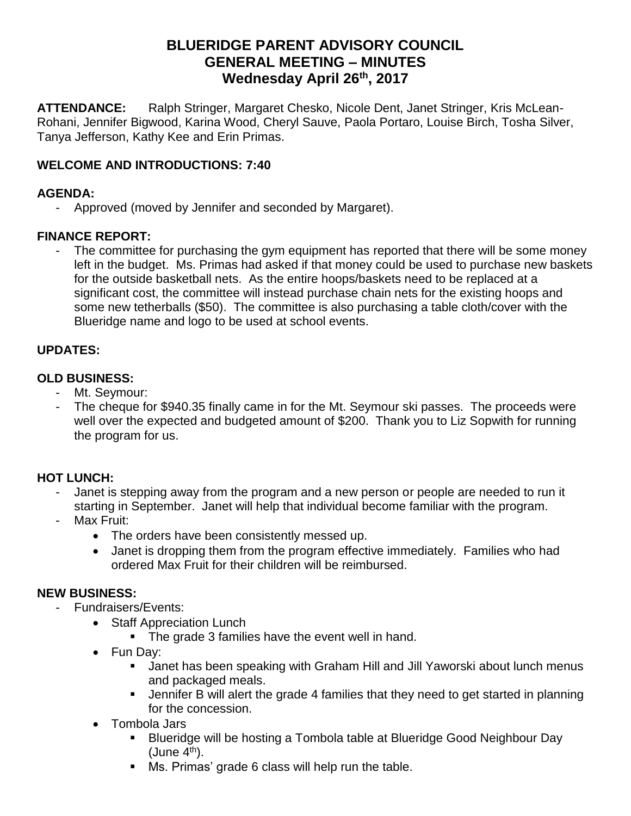## **BLUERIDGE PARENT ADVISORY COUNCIL GENERAL MEETING – MINUTES Wednesday April 26th, 2017**

**ATTENDANCE:** Ralph Stringer, Margaret Chesko, Nicole Dent, Janet Stringer, Kris McLean-Rohani, Jennifer Bigwood, Karina Wood, Cheryl Sauve, Paola Portaro, Louise Birch, Tosha Silver, Tanya Jefferson, Kathy Kee and Erin Primas.

## **WELCOME AND INTRODUCTIONS: 7:40**

#### **AGENDA:**

- Approved (moved by Jennifer and seconded by Margaret).

## **FINANCE REPORT:**

The committee for purchasing the gym equipment has reported that there will be some money left in the budget. Ms. Primas had asked if that money could be used to purchase new baskets for the outside basketball nets. As the entire hoops/baskets need to be replaced at a significant cost, the committee will instead purchase chain nets for the existing hoops and some new tetherballs (\$50). The committee is also purchasing a table cloth/cover with the Blueridge name and logo to be used at school events.

#### **UPDATES:**

#### **OLD BUSINESS:**

- Mt. Seymour:
- The cheque for \$940.35 finally came in for the Mt. Seymour ski passes. The proceeds were well over the expected and budgeted amount of \$200. Thank you to Liz Sopwith for running the program for us.

## **HOT LUNCH:**

- Janet is stepping away from the program and a new person or people are needed to run it starting in September. Janet will help that individual become familiar with the program.
- Max Fruit:
	- The orders have been consistently messed up.
	- Janet is dropping them from the program effective immediately. Families who had ordered Max Fruit for their children will be reimbursed.

#### **NEW BUSINESS:**

- Fundraisers/Events:
	- Staff Appreciation Lunch
		- The grade 3 families have the event well in hand.
	- Fun Day:
		- Janet has been speaking with Graham Hill and Jill Yaworski about lunch menus and packaged meals.
		- Jennifer B will alert the grade 4 families that they need to get started in planning for the concession.
	- Tombola Jars
		- Blueridge will be hosting a Tombola table at Blueridge Good Neighbour Day  $(June 4<sup>th</sup>)$ .
		- Ms. Primas' grade 6 class will help run the table.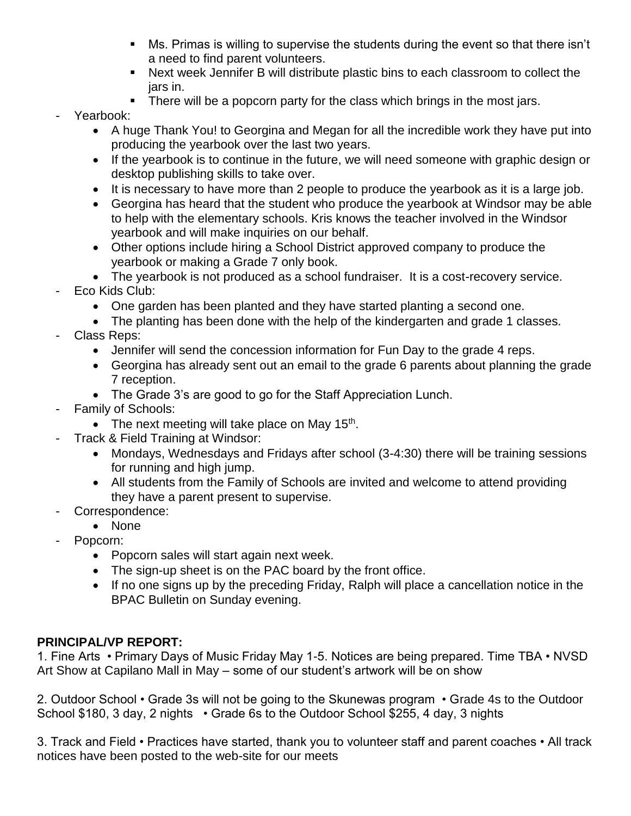- Ms. Primas is willing to supervise the students during the event so that there isn't a need to find parent volunteers.
- Next week Jennifer B will distribute plastic bins to each classroom to collect the jars in.
- **•** There will be a popcorn party for the class which brings in the most jars.
- Yearbook:
	- A huge Thank You! to Georgina and Megan for all the incredible work they have put into producing the yearbook over the last two years.
	- If the yearbook is to continue in the future, we will need someone with graphic design or desktop publishing skills to take over.
	- It is necessary to have more than 2 people to produce the yearbook as it is a large job.
	- Georgina has heard that the student who produce the yearbook at Windsor may be able to help with the elementary schools. Kris knows the teacher involved in the Windsor yearbook and will make inquiries on our behalf.
	- Other options include hiring a School District approved company to produce the yearbook or making a Grade 7 only book.
	- The yearbook is not produced as a school fundraiser. It is a cost-recovery service.
- Eco Kids Club:
	- One garden has been planted and they have started planting a second one.
	- The planting has been done with the help of the kindergarten and grade 1 classes.
- Class Reps:
	- Jennifer will send the concession information for Fun Day to the grade 4 reps.
	- Georgina has already sent out an email to the grade 6 parents about planning the grade 7 reception.
	- The Grade 3's are good to go for the Staff Appreciation Lunch.
- Family of Schools:
	- The next meeting will take place on May  $15<sup>th</sup>$ .
	- Track & Field Training at Windsor:
		- Mondays, Wednesdays and Fridays after school (3-4:30) there will be training sessions for running and high jump.
		- All students from the Family of Schools are invited and welcome to attend providing they have a parent present to supervise.
- Correspondence:
	- None
- Popcorn:
	- Popcorn sales will start again next week.
	- The sign-up sheet is on the PAC board by the front office.
	- If no one signs up by the preceding Friday, Ralph will place a cancellation notice in the BPAC Bulletin on Sunday evening.

## **PRINCIPAL/VP REPORT:**

1. Fine Arts • Primary Days of Music Friday May 1-5. Notices are being prepared. Time TBA • NVSD Art Show at Capilano Mall in May – some of our student's artwork will be on show

2. Outdoor School • Grade 3s will not be going to the Skunewas program • Grade 4s to the Outdoor School \$180, 3 day, 2 nights • Grade 6s to the Outdoor School \$255, 4 day, 3 nights

3. Track and Field • Practices have started, thank you to volunteer staff and parent coaches • All track notices have been posted to the web-site for our meets